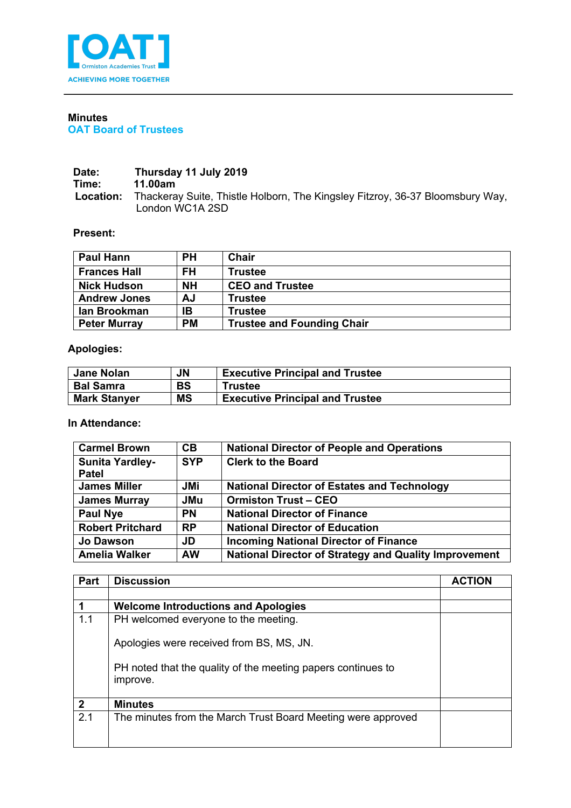

## **Minutes OAT Board of Trustees**

## **Date: Thursday 11 July 2019 Time:** 11.00am<br> **Location:** Thackera **Location:** Thackeray Suite, Thistle Holborn, The Kingsley Fitzroy, 36-37 Bloomsbury Way, London WC1A 2SD

## **Present:**

| <b>Paul Hann</b>    | PН        | Chair                             |
|---------------------|-----------|-----------------------------------|
| <b>Frances Hall</b> | FH        | <b>Trustee</b>                    |
| <b>Nick Hudson</b>  | <b>NH</b> | <b>CEO and Trustee</b>            |
| <b>Andrew Jones</b> | AJ        | <b>Trustee</b>                    |
| lan Brookman        | IB        | <b>Trustee</b>                    |
| <b>Peter Murray</b> | <b>PM</b> | <b>Trustee and Founding Chair</b> |

## **Apologies:**

| <b>Jane Nolan</b>   | <b>JN</b> | <b>Executive Principal and Trustee</b> |
|---------------------|-----------|----------------------------------------|
| <b>Bal Samra</b>    | <b>BS</b> | Trustee                                |
| <b>Mark Stanyer</b> | <b>MS</b> | <b>Executive Principal and Trustee</b> |

**In Attendance:**

| <b>Carmel Brown</b>     | CB.        | <b>National Director of People and Operations</b>            |
|-------------------------|------------|--------------------------------------------------------------|
| <b>Sunita Yardley-</b>  | <b>SYP</b> | <b>Clerk to the Board</b>                                    |
| <b>Patel</b>            |            |                                                              |
| <b>James Miller</b>     | JMi        | <b>National Director of Estates and Technology</b>           |
| <b>James Murray</b>     | <b>JMu</b> | <b>Ormiston Trust - CEO</b>                                  |
| <b>Paul Nye</b>         | <b>PN</b>  | <b>National Director of Finance</b>                          |
| <b>Robert Pritchard</b> | <b>RP</b>  | <b>National Director of Education</b>                        |
| <b>Jo Dawson</b>        | JD         | <b>Incoming National Director of Finance</b>                 |
| <b>Amelia Walker</b>    | <b>AW</b>  | <b>National Director of Strategy and Quality Improvement</b> |

| Part         | <b>Discussion</b>                                                        | <b>ACTION</b> |
|--------------|--------------------------------------------------------------------------|---------------|
|              |                                                                          |               |
|              | <b>Welcome Introductions and Apologies</b>                               |               |
| 1.1          | PH welcomed everyone to the meeting.                                     |               |
|              | Apologies were received from BS, MS, JN.                                 |               |
|              | PH noted that the quality of the meeting papers continues to<br>improve. |               |
| $\mathbf{2}$ | <b>Minutes</b>                                                           |               |
| 2.1          | The minutes from the March Trust Board Meeting were approved             |               |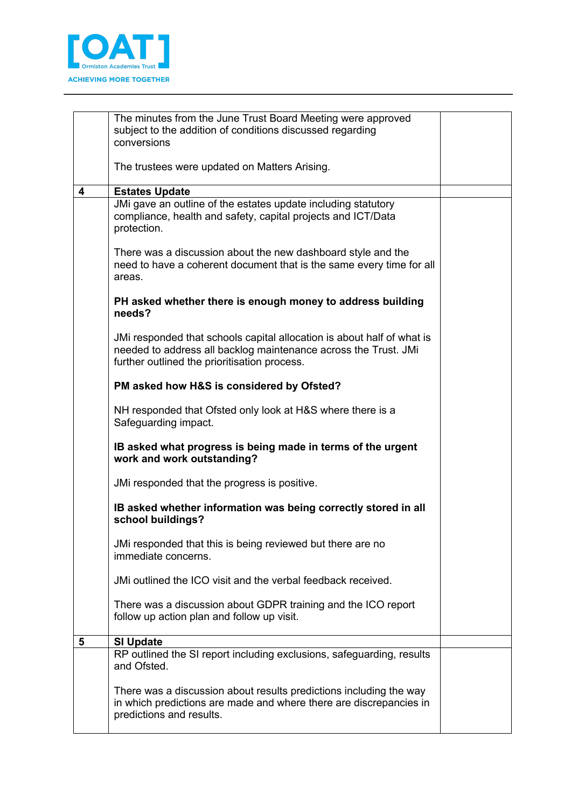

|   | The minutes from the June Trust Board Meeting were approved<br>subject to the addition of conditions discussed regarding<br>conversions                                                   |  |
|---|-------------------------------------------------------------------------------------------------------------------------------------------------------------------------------------------|--|
|   | The trustees were updated on Matters Arising.                                                                                                                                             |  |
| 4 | <b>Estates Update</b>                                                                                                                                                                     |  |
|   | JMi gave an outline of the estates update including statutory<br>compliance, health and safety, capital projects and ICT/Data<br>protection.                                              |  |
|   | There was a discussion about the new dashboard style and the<br>need to have a coherent document that is the same every time for all<br>areas.                                            |  |
|   | PH asked whether there is enough money to address building<br>needs?                                                                                                                      |  |
|   | JMi responded that schools capital allocation is about half of what is<br>needed to address all backlog maintenance across the Trust. JMi<br>further outlined the prioritisation process. |  |
|   | PM asked how H&S is considered by Ofsted?                                                                                                                                                 |  |
|   | NH responded that Ofsted only look at H&S where there is a<br>Safeguarding impact.                                                                                                        |  |
|   | IB asked what progress is being made in terms of the urgent<br>work and work outstanding?                                                                                                 |  |
|   | JMi responded that the progress is positive.                                                                                                                                              |  |
|   | IB asked whether information was being correctly stored in all<br>school buildings?                                                                                                       |  |
|   | JMi responded that this is being reviewed but there are no<br>immediate concerns.                                                                                                         |  |
|   | JMi outlined the ICO visit and the verbal feedback received.                                                                                                                              |  |
|   | There was a discussion about GDPR training and the ICO report<br>follow up action plan and follow up visit.                                                                               |  |
| 5 | <b>SI Update</b>                                                                                                                                                                          |  |
|   | RP outlined the SI report including exclusions, safeguarding, results<br>and Ofsted.                                                                                                      |  |
|   | There was a discussion about results predictions including the way<br>in which predictions are made and where there are discrepancies in<br>predictions and results.                      |  |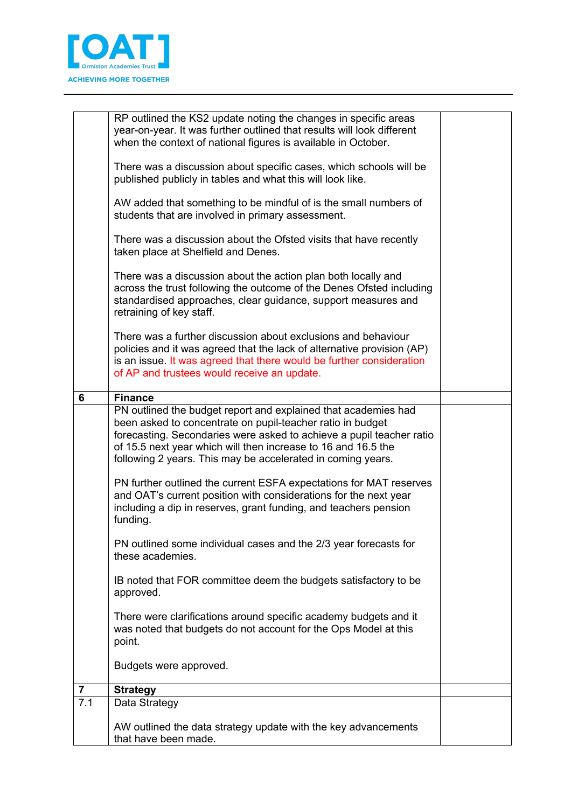

| 6                       | There was a further discussion about exclusions and behaviour<br>policies and it was agreed that the lack of alternative provision (AP)<br>is an issue. It was agreed that there would be further consideration<br>of AP and trustees would receive an update.<br><b>Finance</b><br>PN outlined the budget report and explained that academies had<br>been asked to concentrate on pupil-teacher ratio in budget<br>forecasting. Secondaries were asked to achieve a pupil teacher ratio |  |
|-------------------------|------------------------------------------------------------------------------------------------------------------------------------------------------------------------------------------------------------------------------------------------------------------------------------------------------------------------------------------------------------------------------------------------------------------------------------------------------------------------------------------|--|
|                         | of 15.5 next year which will then increase to 16 and 16.5 the<br>following 2 years. This may be accelerated in coming years.                                                                                                                                                                                                                                                                                                                                                             |  |
|                         | PN further outlined the current ESFA expectations for MAT reserves<br>and OAT's current position with considerations for the next year<br>including a dip in reserves, grant funding, and teachers pension<br>funding.                                                                                                                                                                                                                                                                   |  |
|                         | PN outlined some individual cases and the 2/3 year forecasts for<br>these academies.<br>IB noted that FOR committee deem the budgets satisfactory to be<br>approved.                                                                                                                                                                                                                                                                                                                     |  |
|                         | There were clarifications around specific academy budgets and it<br>was noted that budgets do not account for the Ops Model at this<br>point.                                                                                                                                                                                                                                                                                                                                            |  |
|                         | Budgets were approved.                                                                                                                                                                                                                                                                                                                                                                                                                                                                   |  |
| $\overline{\mathbf{r}}$ |                                                                                                                                                                                                                                                                                                                                                                                                                                                                                          |  |
| 7.1                     | <b>Strategy</b><br>Data Strategy                                                                                                                                                                                                                                                                                                                                                                                                                                                         |  |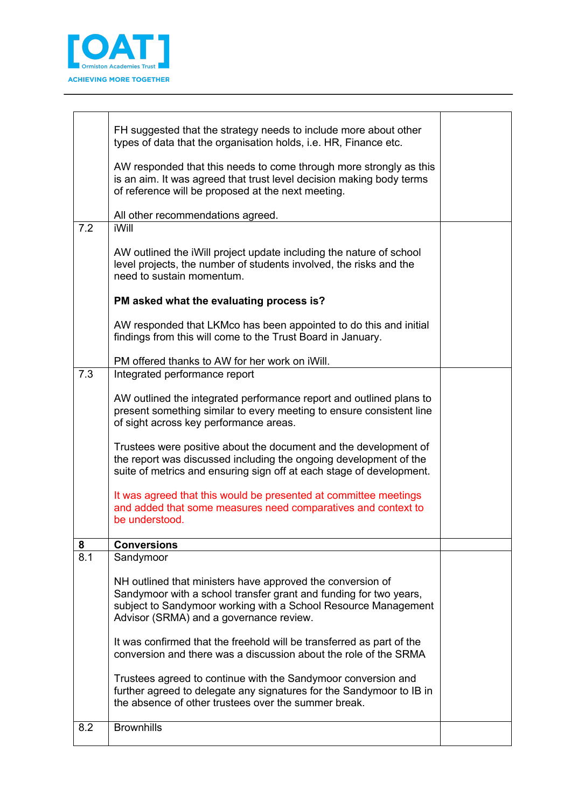

|     | FH suggested that the strategy needs to include more about other<br>types of data that the organisation holds, i.e. HR, Finance etc.                                                                                                         |  |
|-----|----------------------------------------------------------------------------------------------------------------------------------------------------------------------------------------------------------------------------------------------|--|
|     | AW responded that this needs to come through more strongly as this<br>is an aim. It was agreed that trust level decision making body terms<br>of reference will be proposed at the next meeting.                                             |  |
|     | All other recommendations agreed.                                                                                                                                                                                                            |  |
| 7.2 | iWill                                                                                                                                                                                                                                        |  |
|     | AW outlined the iWill project update including the nature of school<br>level projects, the number of students involved, the risks and the<br>need to sustain momentum.                                                                       |  |
|     | PM asked what the evaluating process is?                                                                                                                                                                                                     |  |
|     | AW responded that LKMco has been appointed to do this and initial<br>findings from this will come to the Trust Board in January.                                                                                                             |  |
|     | PM offered thanks to AW for her work on iWill.                                                                                                                                                                                               |  |
| 7.3 | Integrated performance report                                                                                                                                                                                                                |  |
|     | AW outlined the integrated performance report and outlined plans to<br>present something similar to every meeting to ensure consistent line<br>of sight across key performance areas.                                                        |  |
|     | Trustees were positive about the document and the development of<br>the report was discussed including the ongoing development of the<br>suite of metrics and ensuring sign off at each stage of development.                                |  |
|     | It was agreed that this would be presented at committee meetings<br>and added that some measures need comparatives and context to<br>be understood.                                                                                          |  |
| 8   | <b>Conversions</b>                                                                                                                                                                                                                           |  |
| 8.1 | Sandymoor                                                                                                                                                                                                                                    |  |
|     | NH outlined that ministers have approved the conversion of<br>Sandymoor with a school transfer grant and funding for two years,<br>subject to Sandymoor working with a School Resource Management<br>Advisor (SRMA) and a governance review. |  |
|     | It was confirmed that the freehold will be transferred as part of the<br>conversion and there was a discussion about the role of the SRMA                                                                                                    |  |
|     | Trustees agreed to continue with the Sandymoor conversion and<br>further agreed to delegate any signatures for the Sandymoor to IB in<br>the absence of other trustees over the summer break.                                                |  |
| 8.2 | <b>Brownhills</b>                                                                                                                                                                                                                            |  |
|     |                                                                                                                                                                                                                                              |  |